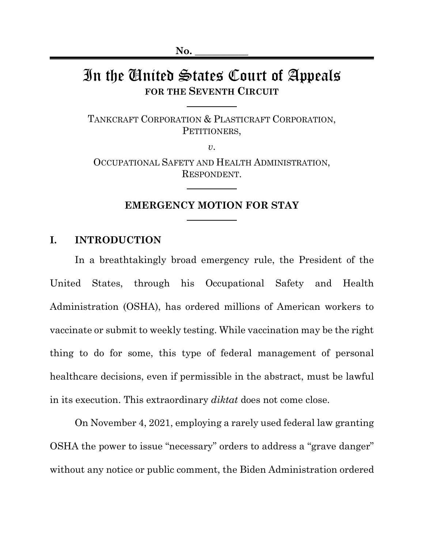# In the United States Court of Appeals **FOR THE SEVENTH CIRCUIT**

TANKCRAFT CORPORATION & PLASTICRAFT CORPORATION, PETITIONERS,

*v*. OCCUPATIONAL SAFETY AND HEALTH ADMINISTRATION, RESPONDENT.

#### **EMERGENCY MOTION FOR STAY**

#### **I. INTRODUCTION**

In a breathtakingly broad emergency rule, the President of the United States, through his Occupational Safety and Health Administration (OSHA), has ordered millions of American workers to vaccinate or submit to weekly testing. While vaccination may be the right thing to do for some, this type of federal management of personal healthcare decisions, even if permissible in the abstract, must be lawful in its execution. This extraordinary *diktat* does not come close.

On November 4, 2021, employing a rarely used federal law granting OSHA the power to issue "necessary" orders to address a "grave danger" without any notice or public comment, the Biden Administration ordered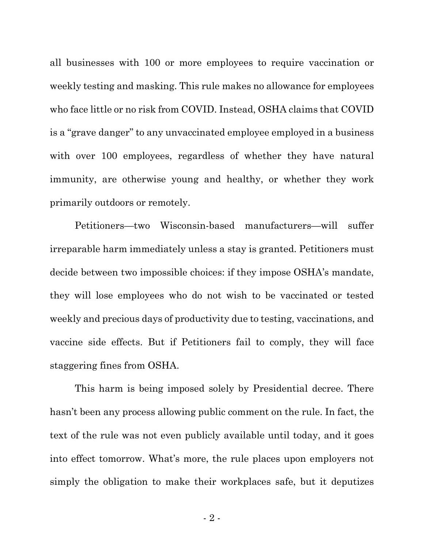all businesses with 100 or more employees to require vaccination or weekly testing and masking. This rule makes no allowance for employees who face little or no risk from COVID. Instead, OSHA claims that COVID is a "grave danger" to any unvaccinated employee employed in a business with over 100 employees, regardless of whether they have natural immunity, are otherwise young and healthy, or whether they work primarily outdoors or remotely.

Petitioners—two Wisconsin-based manufacturers—will suffer irreparable harm immediately unless a stay is granted. Petitioners must decide between two impossible choices: if they impose OSHA's mandate, they will lose employees who do not wish to be vaccinated or tested weekly and precious days of productivity due to testing, vaccinations, and vaccine side effects. But if Petitioners fail to comply, they will face staggering fines from OSHA.

This harm is being imposed solely by Presidential decree. There hasn't been any process allowing public comment on the rule. In fact, the text of the rule was not even publicly available until today, and it goes into effect tomorrow. What's more, the rule places upon employers not simply the obligation to make their workplaces safe, but it deputizes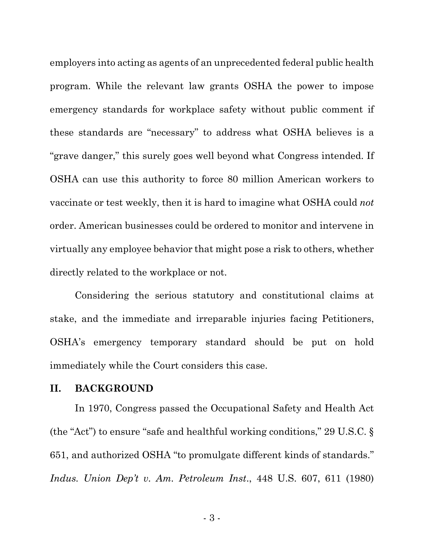employers into acting as agents of an unprecedented federal public health program. While the relevant law grants OSHA the power to impose emergency standards for workplace safety without public comment if these standards are "necessary" to address what OSHA believes is a "grave danger," this surely goes well beyond what Congress intended. If OSHA can use this authority to force 80 million American workers to vaccinate or test weekly, then it is hard to imagine what OSHA could *not*  order. American businesses could be ordered to monitor and intervene in virtually any employee behavior that might pose a risk to others, whether directly related to the workplace or not.

Considering the serious statutory and constitutional claims at stake, and the immediate and irreparable injuries facing Petitioners, OSHA's emergency temporary standard should be put on hold immediately while the Court considers this case.

#### **II. BACKGROUND**

In 1970, Congress passed the Occupational Safety and Health Act (the "Act") to ensure "safe and healthful working conditions," 29 U.S.C. § 651, and authorized OSHA "to promulgate different kinds of standards." *Indus. Union Dep't v. Am. Petroleum Inst*., 448 U.S. 607, 611 (1980)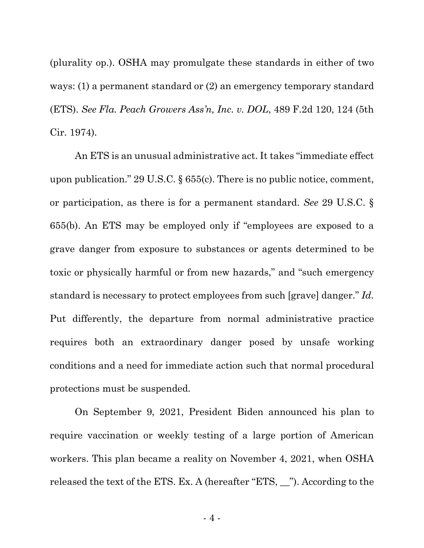(plurality op.). OSHA may promulgate these standards in either of two ways: (1) a permanent standard or (2) an emergency temporary standard (ETS). *See Fla. Peach Growers Ass'n, Inc. v. DOL*, 489 F.2d 120, 124 (5th Cir. 1974).

An ETS is an unusual administrative act. It takes "immediate effect upon publication." 29 U.S.C. § 655(c). There is no public notice, comment, or participation, as there is for a permanent standard. *See* 29 U.S.C. § 655(b). An ETS may be employed only if "employees are exposed to a grave danger from exposure to substances or agents determined to be toxic or physically harmful or from new hazards," and "such emergency standard is necessary to protect employees from such [grave] danger." *Id.* Put differently, the departure from normal administrative practice requires both an extraordinary danger posed by unsafe working conditions and a need for immediate action such that normal procedural protections must be suspended.

On September 9, 2021, President Biden announced his plan to require vaccination or weekly testing of a large portion of American workers. This plan became a reality on November 4, 2021, when OSHA released the text of the ETS. Ex. A (hereafter "ETS, \_\_"). According to the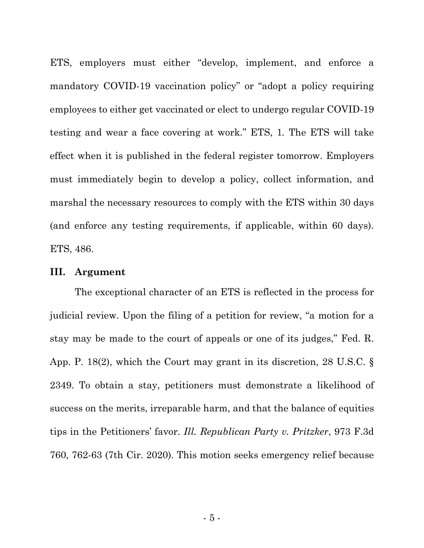ETS, employers must either "develop, implement, and enforce a mandatory COVID-19 vaccination policy" or "adopt a policy requiring employees to either get vaccinated or elect to undergo regular COVID-19 testing and wear a face covering at work." ETS, 1*.* The ETS will take effect when it is published in the federal register tomorrow. Employers must immediately begin to develop a policy, collect information, and marshal the necessary resources to comply with the ETS within 30 days (and enforce any testing requirements, if applicable, within 60 days). ETS, 486.

#### **III. Argument**

The exceptional character of an ETS is reflected in the process for judicial review. Upon the filing of a petition for review, "a motion for a stay may be made to the court of appeals or one of its judges," Fed. R. App. P. 18(2), which the Court may grant in its discretion, 28 U.S.C. § 2349. To obtain a stay, petitioners must demonstrate a likelihood of success on the merits, irreparable harm, and that the balance of equities tips in the Petitioners' favor. *Ill. Republican Party v. Pritzker*, 973 F.3d 760, 762-63 (7th Cir. 2020). This motion seeks emergency relief because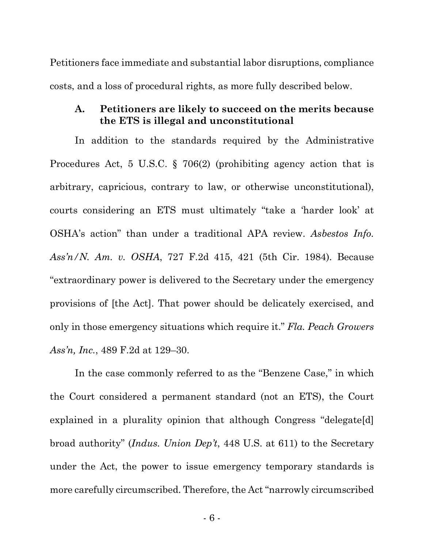Petitioners face immediate and substantial labor disruptions, compliance costs, and a loss of procedural rights, as more fully described below.

# **A. Petitioners are likely to succeed on the merits because the ETS is illegal and unconstitutional**

In addition to the standards required by the Administrative Procedures Act, 5 U.S.C. § 706(2) (prohibiting agency action that is arbitrary, capricious, contrary to law, or otherwise unconstitutional), courts considering an ETS must ultimately "take a 'harder look' at OSHA's action" than under a traditional APA review. *Asbestos Info. Ass'n/N. Am. v. OSHA*, 727 F.2d 415, 421 (5th Cir. 1984). Because "extraordinary power is delivered to the Secretary under the emergency provisions of [the Act]. That power should be delicately exercised, and only in those emergency situations which require it." *Fla. Peach Growers Ass'n, Inc.*, 489 F.2d at 129–30.

In the case commonly referred to as the "Benzene Case," in which the Court considered a permanent standard (not an ETS), the Court explained in a plurality opinion that although Congress "delegate[d] broad authority" (*Indus. Union Dep't*, 448 U.S. at 611) to the Secretary under the Act, the power to issue emergency temporary standards is more carefully circumscribed. Therefore, the Act "narrowly circumscribed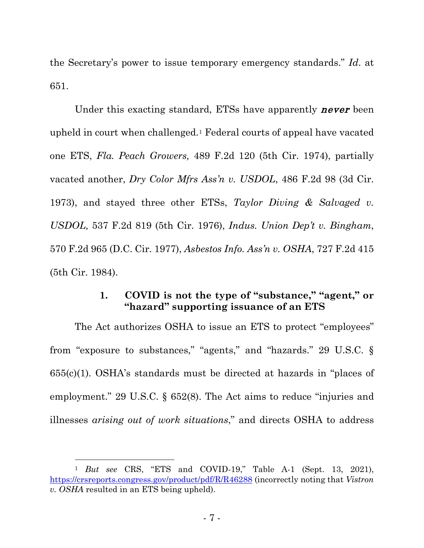the Secretary's power to issue temporary emergency standards." *Id*. at 651.

Under this exacting standard, ETSs have apparently **never** been upheld in court when challenged.[1](#page-6-0) Federal courts of appeal have vacated one ETS, *Fla. Peach Growers,* 489 F.2d 120 (5th Cir. 1974), partially vacated another, *Dry Color Mfrs Ass'n v. USDOL*, 486 F.2d 98 (3d Cir. 1973), and stayed three other ETSs, *Taylor Diving & Salvaged v. USDOL,* 537 F.2d 819 (5th Cir. 1976), *Indus. Union Dep't v. Bingham*, 570 F.2d 965 (D.C. Cir. 1977), *Asbestos Info. Ass'n v. OSHA*, 727 F.2d 415 (5th Cir. 1984).

# **1. COVID is not the type of "substance," "agent," or "hazard" supporting issuance of an ETS**

The Act authorizes OSHA to issue an ETS to protect "employees" from "exposure to substances," "agents," and "hazards." 29 U.S.C. § 655(c)(1). OSHA's standards must be directed at hazards in "places of employment." 29 U.S.C. § 652(8). The Act aims to reduce "injuries and illnesses *arising out of work situations*," and directs OSHA to address

<span id="page-6-0"></span><sup>1</sup> *But see* CRS, "ETS and COVID-19," Table A-1 (Sept. 13, 2021), <https://crsreports.congress.gov/product/pdf/R/R46288> (incorrectly noting that *Vistron v. OSHA* resulted in an ETS being upheld).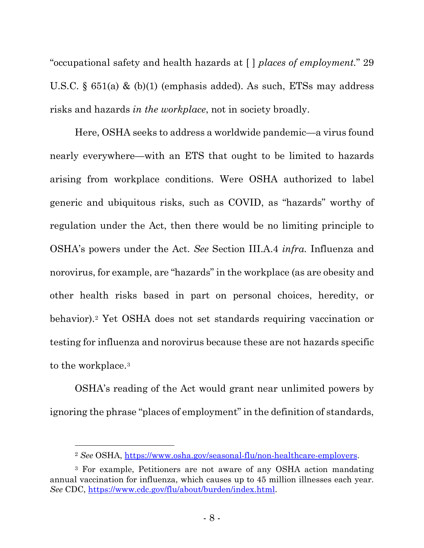"occupational safety and health hazards at [ ] *places of employment.*" 29 U.S.C. § 651(a) & (b)(1) (emphasis added). As such, ETSs may address risks and hazards *in the workplace*, not in society broadly.

Here, OSHA seeks to address a worldwide pandemic—a virus found nearly everywhere—with an ETS that ought to be limited to hazards arising from workplace conditions. Were OSHA authorized to label generic and ubiquitous risks, such as COVID, as "hazards" worthy of regulation under the Act, then there would be no limiting principle to OSHA's powers under the Act. *See* Section III.A.4 *infra.* Influenza and norovirus, for example, are "hazards" in the workplace (as are obesity and other health risks based in part on personal choices, heredity, or behavior).[2](#page-7-0) Yet OSHA does not set standards requiring vaccination or testing for influenza and norovirus because these are not hazards specific to the workplace[.3](#page-7-1)

OSHA's reading of the Act would grant near unlimited powers by ignoring the phrase "places of employment" in the definition of standards,

<sup>2</sup> *See* OSHA, [https://www.osha.gov/seasonal-flu/non-healthcare-employers.](https://www.osha.gov/seasonal-flu/non-healthcare-employers)

<span id="page-7-1"></span><span id="page-7-0"></span><sup>3</sup> For example, Petitioners are not aware of any OSHA action mandating annual vaccination for influenza, which causes up to 45 million illnesses each year. *See* CDC, [https://www.cdc.gov/flu/about/burden/index.html.](https://www.cdc.gov/flu/about/burden/index.html)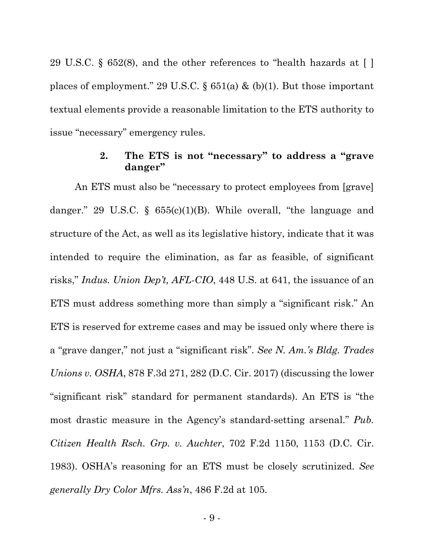29 U.S.C. § 652(8), and the other references to "health hazards at [ ] places of employment." 29 U.S.C. § 651(a) & (b)(1). But those important textual elements provide a reasonable limitation to the ETS authority to issue "necessary" emergency rules.

# **2. The ETS is not "necessary" to address a "grave danger"**

An ETS must also be "necessary to protect employees from [grave] danger." 29 U.S.C. § 655(c)(1)(B). While overall, "the language and structure of the Act, as well as its legislative history, indicate that it was intended to require the elimination, as far as feasible, of significant risks," *Indus. Union Dep't, AFL-CIO*, 448 U.S. at 641, the issuance of an ETS must address something more than simply a "significant risk." An ETS is reserved for extreme cases and may be issued only where there is a "grave danger," not just a "significant risk". *See N. Am.'s Bldg. Trades Unions v. OSHA*, 878 F.3d 271, 282 (D.C. Cir. 2017) (discussing the lower "significant risk" standard for permanent standards). An ETS is "the most drastic measure in the Agency's standard-setting arsenal." *Pub. Citizen Health Rsch. Grp. v. Auchter*, 702 F.2d 1150, 1153 (D.C. Cir. 1983). OSHA's reasoning for an ETS must be closely scrutinized. *See generally Dry Color Mfrs. Ass'n*, 486 F.2d at 105.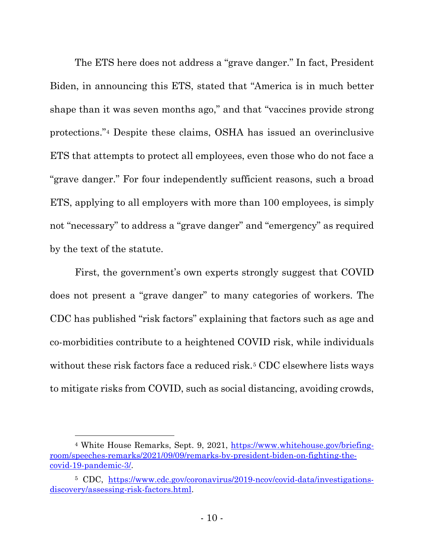The ETS here does not address a "grave danger." In fact, President Biden, in announcing this ETS, stated that "America is in much better shape than it was seven months ago," and that "vaccines provide strong protections."[4](#page-9-0) Despite these claims, OSHA has issued an overinclusive ETS that attempts to protect all employees, even those who do not face a "grave danger." For four independently sufficient reasons, such a broad ETS, applying to all employers with more than 100 employees, is simply not "necessary" to address a "grave danger" and "emergency" as required by the text of the statute.

First, the government's own experts strongly suggest that COVID does not present a "grave danger" to many categories of workers. The CDC has published "risk factors" explaining that factors such as age and co-morbidities contribute to a heightened COVID risk, while individuals without these risk factors face a reduced risk.<sup>[5](#page-9-1)</sup> CDC elsewhere lists ways to mitigate risks from COVID, such as social distancing, avoiding crowds,

<span id="page-9-0"></span><sup>4</sup> White House Remarks, Sept. 9, 2021, [https://www.whitehouse.gov/briefing](https://www.whitehouse.gov/briefing-room/speeches-remarks/2021/09/09/remarks-by-president-biden-on-fighting-the-covid-19-pandemic-3/)[room/speeches-remarks/2021/09/09/remarks-by-president-biden-on-fighting-the](https://www.whitehouse.gov/briefing-room/speeches-remarks/2021/09/09/remarks-by-president-biden-on-fighting-the-covid-19-pandemic-3/)[covid-19-pandemic-3/.](https://www.whitehouse.gov/briefing-room/speeches-remarks/2021/09/09/remarks-by-president-biden-on-fighting-the-covid-19-pandemic-3/)

<span id="page-9-1"></span><sup>5</sup> CDC, [https://www.cdc.gov/coronavirus/2019-ncov/covid-data/investigations](https://www.cdc.gov/coronavirus/2019-ncov/covid-data/investigations-discovery/assessing-risk-factors.html)[discovery/assessing-risk-factors.html.](https://www.cdc.gov/coronavirus/2019-ncov/covid-data/investigations-discovery/assessing-risk-factors.html)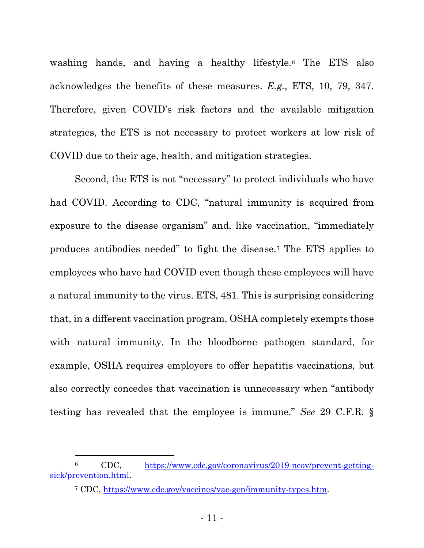washing hands, and having a healthy lifestyle.[6](#page-10-0) The ETS also acknowledges the benefits of these measures. *E.g.*, ETS, 10, 79, 347. Therefore, given COVID's risk factors and the available mitigation strategies, the ETS is not necessary to protect workers at low risk of COVID due to their age, health, and mitigation strategies.

Second, the ETS is not "necessary" to protect individuals who have had COVID. According to CDC, "natural immunity is acquired from exposure to the disease organism" and, like vaccination, "immediately produces antibodies needed" to fight the disease[.7](#page-10-1) The ETS applies to employees who have had COVID even though these employees will have a natural immunity to the virus. ETS, 481. This is surprising considering that, in a different vaccination program, OSHA completely exempts those with natural immunity. In the bloodborne pathogen standard, for example, OSHA requires employers to offer hepatitis vaccinations, but also correctly concedes that vaccination is unnecessary when "antibody testing has revealed that the employee is immune." *See* 29 C.F.R. §

<span id="page-10-1"></span><span id="page-10-0"></span><sup>6</sup> CDC, [https://www.cdc.gov/coronavirus/2019-ncov/prevent-getting](https://www.cdc.gov/coronavirus/2019-ncov/prevent-getting-sick/prevention.html)[sick/prevention.html.](https://www.cdc.gov/coronavirus/2019-ncov/prevent-getting-sick/prevention.html)

<sup>7</sup> CDC, [https://www.cdc.gov/vaccines/vac-gen/immunity-types.htm.](https://www.cdc.gov/vaccines/vac-gen/immunity-types.htm)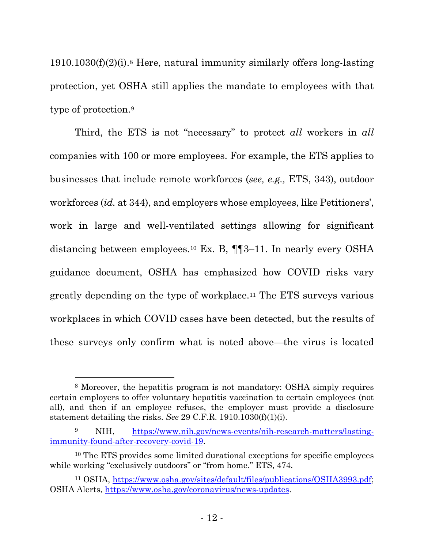$1910.1030(f)(2)(i)$ .<sup>8</sup> Here, natural immunity similarly offers long-lasting protection, yet OSHA still applies the mandate to employees with that type of protection.[9](#page-11-1)

Third, the ETS is not "necessary" to protect *all* workers in *all* companies with 100 or more employees. For example, the ETS applies to businesses that include remote workforces (*see, e.g.,* ETS, 343), outdoor workforces (*id.* at 344), and employers whose employees, like Petitioners', work in large and well-ventilated settings allowing for significant distancing between employees.[10](#page-11-2) Ex. B, ¶¶3–11. In nearly every OSHA guidance document, OSHA has emphasized how COVID risks vary greatly depending on the type of workplace.[11](#page-11-3) The ETS surveys various workplaces in which COVID cases have been detected, but the results of these surveys only confirm what is noted above—the virus is located

<span id="page-11-0"></span><sup>8</sup> Moreover, the hepatitis program is not mandatory: OSHA simply requires certain employers to offer voluntary hepatitis vaccination to certain employees (not all), and then if an employee refuses, the employer must provide a disclosure statement detailing the risks. *See* 29 C.F.R. 1910.1030(f)(1)(i).

<span id="page-11-1"></span>NIH, [https://www.nih.gov/news-events/nih-research-matters/lasting](https://www.nih.gov/news-events/nih-research-matters/lasting-immunity-found-after-recovery-covid-19)[immunity-found-after-recovery-covid-19.](https://www.nih.gov/news-events/nih-research-matters/lasting-immunity-found-after-recovery-covid-19)

<span id="page-11-2"></span><sup>10</sup> The ETS provides some limited durational exceptions for specific employees while working "exclusively outdoors" or "from home." ETS, 474.

<span id="page-11-3"></span><sup>11</sup> OSHA, [https://www.osha.gov/sites/default/files/publications/OSHA3993.pdf;](https://www.osha.gov/sites/default/files/publications/OSHA3993.pdf) OSHA Alerts, [https://www.osha.gov/coronavirus/news-updates.](https://www.osha.gov/coronavirus/news-updates)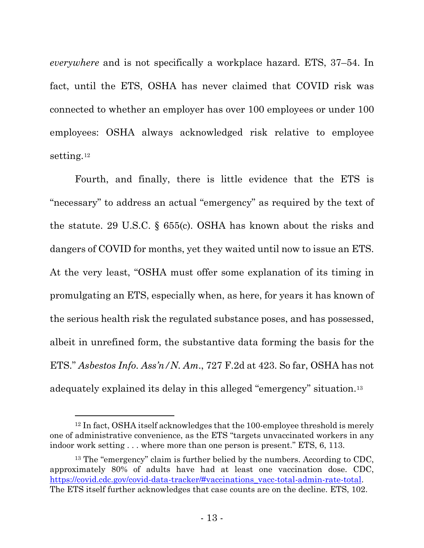*everywhere* and is not specifically a workplace hazard. ETS, 37–54. In fact, until the ETS, OSHA has never claimed that COVID risk was connected to whether an employer has over 100 employees or under 100 employees: OSHA always acknowledged risk relative to employee setting.[12](#page-12-0)

Fourth, and finally, there is little evidence that the ETS is "necessary" to address an actual "emergency" as required by the text of the statute. 29 U.S.C. § 655(c). OSHA has known about the risks and dangers of COVID for months, yet they waited until now to issue an ETS. At the very least, "OSHA must offer some explanation of its timing in promulgating an ETS, especially when, as here, for years it has known of the serious health risk the regulated substance poses, and has possessed, albeit in unrefined form, the substantive data forming the basis for the ETS." *Asbestos Info. Ass'n/N. Am*., 727 F.2d at 423. So far, OSHA has not adequately explained its delay in this alleged "emergency" situation.[13](#page-12-1)

<span id="page-12-0"></span><sup>12</sup> In fact, OSHA itself acknowledges that the 100-employee threshold is merely one of administrative convenience, as the ETS "targets unvaccinated workers in any indoor work setting . . . where more than one person is present." ETS, 6, 113.

<span id="page-12-1"></span><sup>&</sup>lt;sup>13</sup> The "emergency" claim is further belied by the numbers. According to CDC, approximately 80% of adults have had at least one vaccination dose. CDC, [https://covid.cdc.gov/covid-data-tracker/#vaccinations\\_vacc-total-admin-rate-total.](https://covid.cdc.gov/covid-data-tracker/#vaccinations_vacc-total-admin-rate-total) The ETS itself further acknowledges that case counts are on the decline. ETS, 102.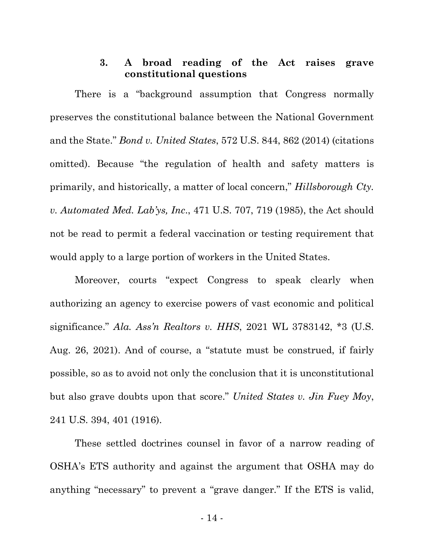# **3. A broad reading of the Act raises grave constitutional questions**

There is a "background assumption that Congress normally preserves the constitutional balance between the National Government and the State." *Bond v. United States*, 572 U.S. 844, 862 (2014) (citations omitted). Because "the regulation of health and safety matters is primarily, and historically, a matter of local concern," *Hillsborough Cty. v. Automated Med. Lab'ys, Inc*., 471 U.S. 707, 719 (1985), the Act should not be read to permit a federal vaccination or testing requirement that would apply to a large portion of workers in the United States.

Moreover, courts "expect Congress to speak clearly when authorizing an agency to exercise powers of vast economic and political significance." *Ala. Ass'n Realtors v. HHS*, 2021 WL 3783142, \*3 (U.S. Aug. 26, 2021). And of course, a "statute must be construed, if fairly possible, so as to avoid not only the conclusion that it is unconstitutional but also grave doubts upon that score." *United States v. Jin Fuey Moy*, 241 U.S. 394, 401 (1916).

These settled doctrines counsel in favor of a narrow reading of OSHA's ETS authority and against the argument that OSHA may do anything "necessary" to prevent a "grave danger." If the ETS is valid,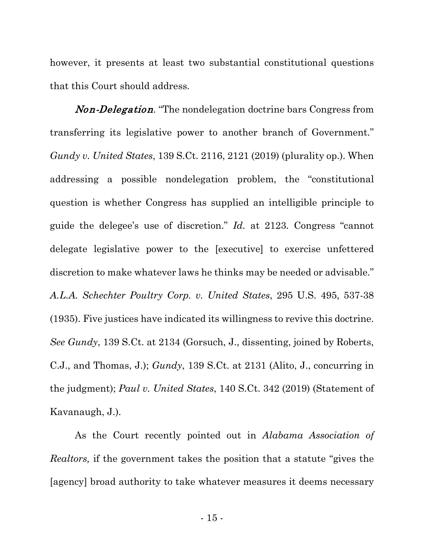however, it presents at least two substantial constitutional questions that this Court should address.

Non-Delegation*.* "The nondelegation doctrine bars Congress from transferring its legislative power to another branch of Government." *Gundy v. United States*, 139 S.Ct. 2116, 2121 (2019) (plurality op.). When addressing a possible nondelegation problem, the "constitutional question is whether Congress has supplied an intelligible principle to guide the delegee's use of discretion." *Id.* at 2123. Congress "cannot delegate legislative power to the [executive] to exercise unfettered discretion to make whatever laws he thinks may be needed or advisable." *A.L.A. Schechter Poultry Corp. v. United States*, 295 U.S. 495, 537-38 (1935). Five justices have indicated its willingness to revive this doctrine. *See Gundy*, 139 S.Ct. at 2134 (Gorsuch, J., dissenting, joined by Roberts, C.J., and Thomas, J.); *Gundy*, 139 S.Ct. at 2131 (Alito, J., concurring in the judgment); *Paul v. United States*, 140 S.Ct. 342 (2019) (Statement of Kavanaugh, J.).

As the Court recently pointed out in *Alabama Association of Realtors,* if the government takes the position that a statute "gives the [agency] broad authority to take whatever measures it deems necessary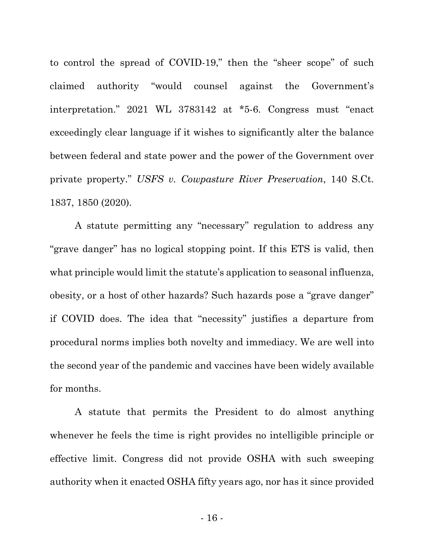to control the spread of COVID-19," then the "sheer scope" of such claimed authority "would counsel against the Government's interpretation." 2021 WL 3783142 at \*5-6. Congress must "enact exceedingly clear language if it wishes to significantly alter the balance between federal and state power and the power of the Government over private property." *USFS v. Cowpasture River Preservation*, 140 S.Ct. 1837, 1850 (2020).

A statute permitting any "necessary" regulation to address any "grave danger" has no logical stopping point. If this ETS is valid, then what principle would limit the statute's application to seasonal influenza, obesity, or a host of other hazards? Such hazards pose a "grave danger" if COVID does. The idea that "necessity" justifies a departure from procedural norms implies both novelty and immediacy. We are well into the second year of the pandemic and vaccines have been widely available for months.

A statute that permits the President to do almost anything whenever he feels the time is right provides no intelligible principle or effective limit. Congress did not provide OSHA with such sweeping authority when it enacted OSHA fifty years ago, nor has it since provided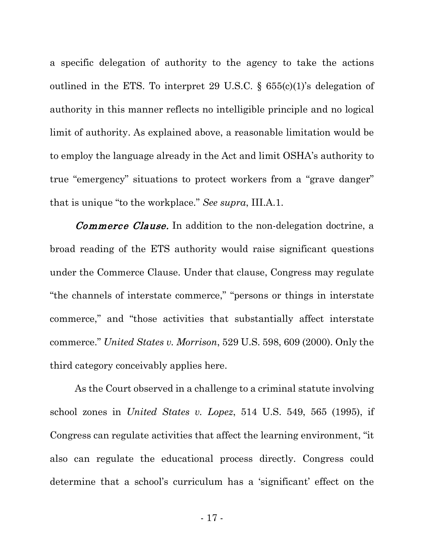a specific delegation of authority to the agency to take the actions outlined in the ETS. To interpret 29 U.S.C.  $\S$  655(c)(1)'s delegation of authority in this manner reflects no intelligible principle and no logical limit of authority. As explained above, a reasonable limitation would be to employ the language already in the Act and limit OSHA's authority to true "emergency" situations to protect workers from a "grave danger" that is unique "to the workplace." *See supra*, III.A.1.

Commerce Clause. In addition to the non-delegation doctrine, a broad reading of the ETS authority would raise significant questions under the Commerce Clause. Under that clause, Congress may regulate "the channels of interstate commerce," "persons or things in interstate commerce," and "those activities that substantially affect interstate commerce." *United States v. Morrison*, 529 U.S. 598, 609 (2000). Only the third category conceivably applies here.

As the Court observed in a challenge to a criminal statute involving school zones in *United States v. Lopez*, 514 U.S. 549, 565 (1995), if Congress can regulate activities that affect the learning environment, "it also can regulate the educational process directly. Congress could determine that a school's curriculum has a 'significant' effect on the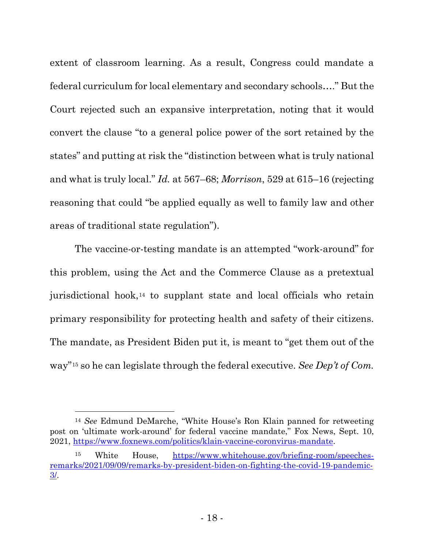extent of classroom learning. As a result, Congress could mandate a federal curriculum for local elementary and secondary schools…." But the Court rejected such an expansive interpretation, noting that it would convert the clause "to a general police power of the sort retained by the states" and putting at risk the "distinction between what is truly national and what is truly local." *Id.* at 567–68; *Morrison*, 529 at 615–16 (rejecting reasoning that could "be applied equally as well to family law and other areas of traditional state regulation").

The vaccine-or-testing mandate is an attempted "work-around" for this problem, using the Act and the Commerce Clause as a pretextual jurisdictional hook,[14](#page-17-0) to supplant state and local officials who retain primary responsibility for protecting health and safety of their citizens. The mandate, as President Biden put it, is meant to "get them out of the way"[15](#page-17-1) so he can legislate through the federal executive. *See Dep't of Com.* 

<span id="page-17-0"></span><sup>14</sup> *See* Edmund DeMarche, "White House's Ron Klain panned for retweeting post on 'ultimate work-around' for federal vaccine mandate," Fox News, Sept. 10, 2021, [https://www.foxnews.com/politics/klain-vaccine-coronvirus-mandate.](https://www.foxnews.com/politics/klain-vaccine-coronvirus-mandate)

<span id="page-17-1"></span><sup>15</sup> White House, [https://www.whitehouse.gov/briefing-room/speeches](https://www.whitehouse.gov/briefing-room/speeches-remarks/2021/09/09/remarks-by-president-biden-on-fighting-the-covid-19-pandemic-3/)[remarks/2021/09/09/remarks-by-president-biden-on-fighting-the-covid-19-pandemic-](https://www.whitehouse.gov/briefing-room/speeches-remarks/2021/09/09/remarks-by-president-biden-on-fighting-the-covid-19-pandemic-3/)[3/.](https://www.whitehouse.gov/briefing-room/speeches-remarks/2021/09/09/remarks-by-president-biden-on-fighting-the-covid-19-pandemic-3/)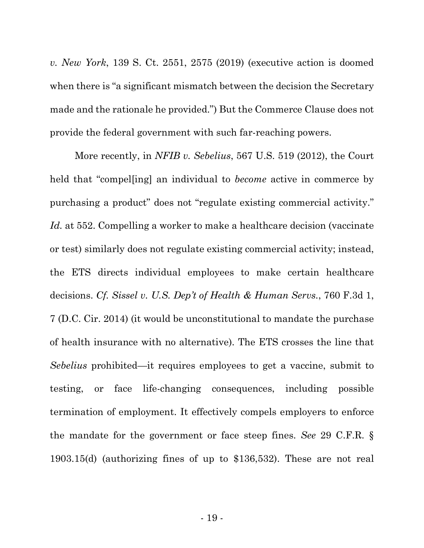*v. New York*, 139 S. Ct. 2551, 2575 (2019) (executive action is doomed when there is "a significant mismatch between the decision the Secretary made and the rationale he provided.") But the Commerce Clause does not provide the federal government with such far-reaching powers.

More recently, in *NFIB v. Sebelius*, 567 U.S. 519 (2012), the Court held that "compel[ing] an individual to *become* active in commerce by purchasing a product" does not "regulate existing commercial activity." *Id.* at 552. Compelling a worker to make a healthcare decision (vaccinate or test) similarly does not regulate existing commercial activity; instead, the ETS directs individual employees to make certain healthcare decisions. *Cf. Sissel v. U.S. Dep't of Health & Human Servs.*, 760 F.3d 1, 7 (D.C. Cir. 2014) (it would be unconstitutional to mandate the purchase of health insurance with no alternative). The ETS crosses the line that *Sebelius* prohibited—it requires employees to get a vaccine, submit to testing, or face life-changing consequences, including possible termination of employment. It effectively compels employers to enforce the mandate for the government or face steep fines. *See* 29 C.F.R. § 1903.15(d) (authorizing fines of up to \$136,532). These are not real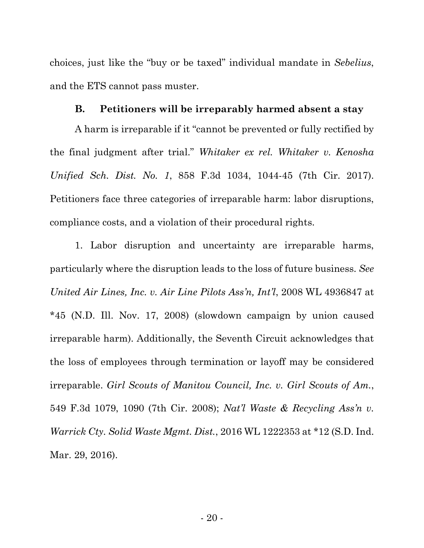choices, just like the "buy or be taxed" individual mandate in *Sebelius*, and the ETS cannot pass muster.

### **B. Petitioners will be irreparably harmed absent a stay**

A harm is irreparable if it "cannot be prevented or fully rectified by the final judgment after trial." *Whitaker ex rel. Whitaker v. Kenosha Unified Sch. Dist. No. 1*, 858 F.3d 1034, 1044-45 (7th Cir. 2017). Petitioners face three categories of irreparable harm: labor disruptions, compliance costs, and a violation of their procedural rights.

1. Labor disruption and uncertainty are irreparable harms, particularly where the disruption leads to the loss of future business. *See United Air Lines, Inc. v. Air Line Pilots Ass'n, Int'l*, 2008 WL 4936847 at \*45 (N.D. Ill. Nov. 17, 2008) (slowdown campaign by union caused irreparable harm). Additionally, the Seventh Circuit acknowledges that the loss of employees through termination or layoff may be considered irreparable. *Girl Scouts of Manitou Council, Inc. v. Girl Scouts of Am.*, 549 F.3d 1079, 1090 (7th Cir. 2008); *Nat'l Waste & Recycling Ass'n v. Warrick Cty. Solid Waste Mgmt. Dist.*, 2016 WL 1222353 at \*12 (S.D. Ind. Mar. 29, 2016).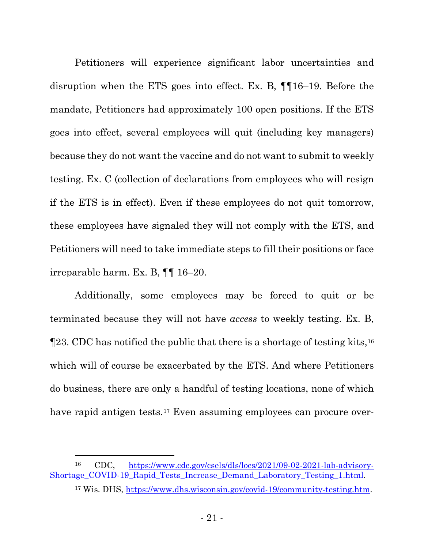Petitioners will experience significant labor uncertainties and disruption when the ETS goes into effect. Ex. B, ¶¶16–19. Before the mandate, Petitioners had approximately 100 open positions. If the ETS goes into effect, several employees will quit (including key managers) because they do not want the vaccine and do not want to submit to weekly testing. Ex. C (collection of declarations from employees who will resign if the ETS is in effect). Even if these employees do not quit tomorrow, these employees have signaled they will not comply with the ETS, and Petitioners will need to take immediate steps to fill their positions or face irreparable harm. Ex. B, ¶¶ 16–20.

Additionally, some employees may be forced to quit or be terminated because they will not have *access* to weekly testing. Ex. B, ¶23. CDC has notified the public that there is a shortage of testing kits,[16](#page-20-0) which will of course be exacerbated by the ETS. And where Petitioners do business, there are only a handful of testing locations, none of which have rapid antigen tests.<sup>[17](#page-20-1)</sup> Even assuming employees can procure over-

<span id="page-20-1"></span><span id="page-20-0"></span><sup>16</sup> CDC, [https://www.cdc.gov/csels/dls/locs/2021/09-02-2021-lab-advisory-](https://www.cdc.gov/csels/dls/locs/2021/09-02-2021-lab-advisory-Shortage_COVID-19_Rapid_Tests_Increase_Demand_Laboratory_Testing_1.html)[Shortage\\_COVID-19\\_Rapid\\_Tests\\_Increase\\_Demand\\_Laboratory\\_Testing\\_1.html.](https://www.cdc.gov/csels/dls/locs/2021/09-02-2021-lab-advisory-Shortage_COVID-19_Rapid_Tests_Increase_Demand_Laboratory_Testing_1.html)

<sup>17</sup> Wis. DHS, [https://www.dhs.wisconsin.gov/covid-19/community-testing.htm.](https://www.dhs.wisconsin.gov/covid-19/community-testing.htm)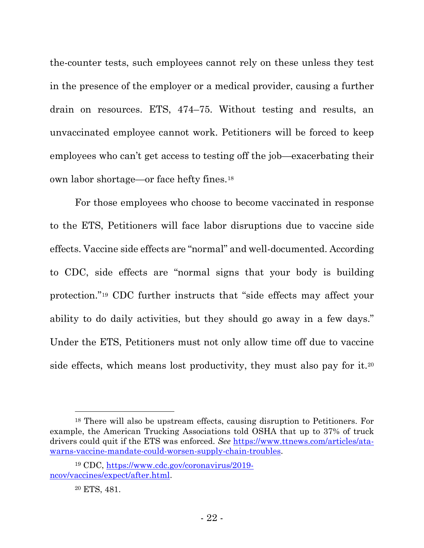the-counter tests, such employees cannot rely on these unless they test in the presence of the employer or a medical provider, causing a further drain on resources. ETS, 474–75. Without testing and results, an unvaccinated employee cannot work. Petitioners will be forced to keep employees who can't get access to testing off the job—exacerbating their own labor shortage—or face hefty fines.[18](#page-21-0)

For those employees who choose to become vaccinated in response to the ETS, Petitioners will face labor disruptions due to vaccine side effects. Vaccine side effects are "normal" and well-documented. According to CDC, side effects are "normal signs that your body is building protection."[19](#page-21-1) CDC further instructs that "side effects may affect your ability to do daily activities, but they should go away in a few days." Under the ETS, Petitioners must not only allow time off due to vaccine side effects, which means lost productivity, they must also pay for it.[20](#page-21-2)

<span id="page-21-0"></span><sup>18</sup> There will also be upstream effects, causing disruption to Petitioners. For example, the American Trucking Associations told OSHA that up to 37% of truck drivers could quit if the ETS was enforced. *See* [https://www.ttnews.com/articles/ata](https://www.ttnews.com/articles/ata-warns-vaccine-mandate-could-worsen-supply-chain-troubles)[warns-vaccine-mandate-could-worsen-supply-chain-troubles.](https://www.ttnews.com/articles/ata-warns-vaccine-mandate-could-worsen-supply-chain-troubles)

<span id="page-21-2"></span><span id="page-21-1"></span><sup>19</sup> CDC, [https://www.cdc.gov/coronavirus/2019](https://www.cdc.gov/coronavirus/2019-ncov/vaccines/expect/after.html) [ncov/vaccines/expect/after.html.](https://www.cdc.gov/coronavirus/2019-ncov/vaccines/expect/after.html)

<sup>20</sup> ETS, 481.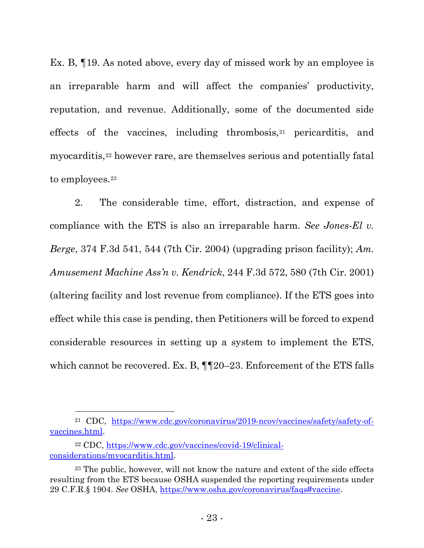Ex. B, ¶19. As noted above, every day of missed work by an employee is an irreparable harm and will affect the companies' productivity, reputation, and revenue. Additionally, some of the documented side effects of the vaccines, including thrombosis,[21](#page-22-0) pericarditis, and myocarditis,[22](#page-22-1) however rare, are themselves serious and potentially fatal to employees.[23](#page-22-2)

2. The considerable time, effort, distraction, and expense of compliance with the ETS is also an irreparable harm. *See Jones-El v. Berge*, 374 F.3d 541, 544 (7th Cir. 2004) (upgrading prison facility); *Am. Amusement Machine Ass'n v. Kendrick*, 244 F.3d 572, 580 (7th Cir. 2001) (altering facility and lost revenue from compliance). If the ETS goes into effect while this case is pending, then Petitioners will be forced to expend considerable resources in setting up a system to implement the ETS, which cannot be recovered. Ex. B,  $\P$  $[20-23$ . Enforcement of the ETS falls

<span id="page-22-0"></span><sup>21</sup> CDC, [https://www.cdc.gov/coronavirus/2019-ncov/vaccines/safety/safety-of](https://www.cdc.gov/coronavirus/2019-ncov/vaccines/safety/safety-of-vaccines.html)[vaccines.html.](https://www.cdc.gov/coronavirus/2019-ncov/vaccines/safety/safety-of-vaccines.html)

<span id="page-22-1"></span><sup>22</sup> CDC, [https://www.cdc.gov/vaccines/covid-19/clinical](https://www.cdc.gov/vaccines/covid-19/clinical-considerations/myocarditis.html)[considerations/myocarditis.html.](https://www.cdc.gov/vaccines/covid-19/clinical-considerations/myocarditis.html)

<span id="page-22-2"></span><sup>23</sup> The public, however, will not know the nature and extent of the side effects resulting from the ETS because OSHA suspended the reporting requirements under 29 C.F.R.§ 1904. *See* OSHA, [https://www.osha.gov/coronavirus/faqs#vaccine.](https://www.osha.gov/coronavirus/faqs#vaccine)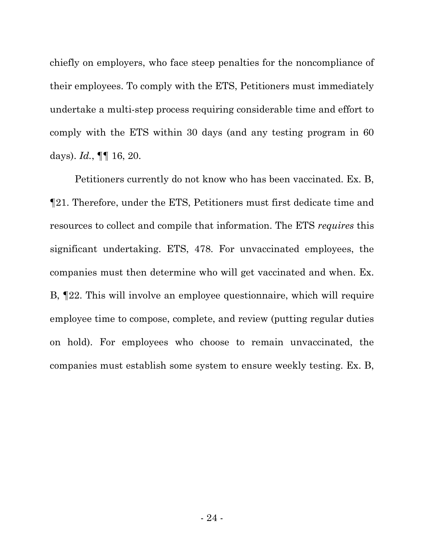chiefly on employers, who face steep penalties for the noncompliance of their employees. To comply with the ETS, Petitioners must immediately undertake a multi-step process requiring considerable time and effort to comply with the ETS within 30 days (and any testing program in 60 days). *Id.*, ¶¶ 16, 20.

Petitioners currently do not know who has been vaccinated. Ex. B, ¶21. Therefore, under the ETS, Petitioners must first dedicate time and resources to collect and compile that information. The ETS *requires* this significant undertaking. ETS, 478. For unvaccinated employees, the companies must then determine who will get vaccinated and when. Ex. B, ¶22. This will involve an employee questionnaire, which will require employee time to compose, complete, and review (putting regular duties on hold). For employees who choose to remain unvaccinated, the companies must establish some system to ensure weekly testing. Ex. B,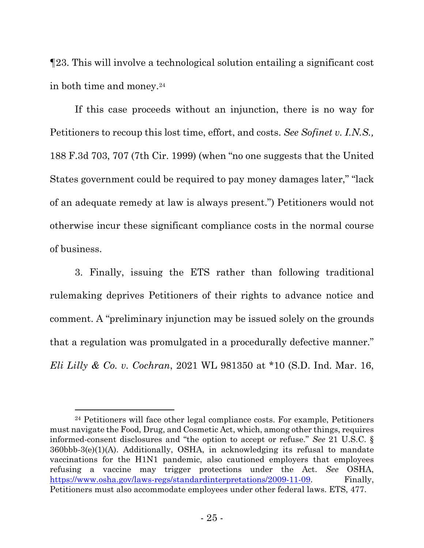¶23. This will involve a technological solution entailing a significant cost in both time and money.[24](#page-24-0)

If this case proceeds without an injunction, there is no way for Petitioners to recoup this lost time, effort, and costs. *See Sofinet v. I.N.S.,* 188 F.3d 703, 707 (7th Cir. 1999) (when "no one suggests that the United States government could be required to pay money damages later," "lack of an adequate remedy at law is always present.") Petitioners would not otherwise incur these significant compliance costs in the normal course of business.

3. Finally, issuing the ETS rather than following traditional rulemaking deprives Petitioners of their rights to advance notice and comment. A "preliminary injunction may be issued solely on the grounds that a regulation was promulgated in a procedurally defective manner." *Eli Lilly & Co. v. Cochran*, 2021 WL 981350 at \*10 (S.D. Ind. Mar. 16,

<span id="page-24-0"></span><sup>24</sup> Petitioners will face other legal compliance costs. For example, Petitioners must navigate the Food, Drug, and Cosmetic Act, which, among other things, requires informed-consent disclosures and "the option to accept or refuse." *See* 21 U.S.C. § 360bbb-3(e)(1)(A). Additionally, OSHA, in acknowledging its refusal to mandate vaccinations for the H1N1 pandemic, also cautioned employers that employees refusing a vaccine may trigger protections under the Act. *See* OSHA, [https://www.osha.gov/laws-regs/standardinterpretations/2009-11-09.](https://www.osha.gov/laws-regs/standardinterpretations/2009-11-09) Finally, Petitioners must also accommodate employees under other federal laws. ETS, 477.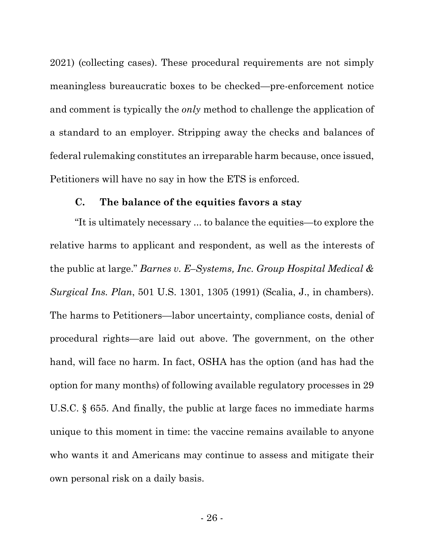2021) (collecting cases). These procedural requirements are not simply meaningless bureaucratic boxes to be checked—pre-enforcement notice and comment is typically the *only* method to challenge the application of a standard to an employer. Stripping away the checks and balances of federal rulemaking constitutes an irreparable harm because, once issued, Petitioners will have no say in how the ETS is enforced.

### **C. The balance of the equities favors a stay**

"It is ultimately necessary ... to balance the equities—to explore the relative harms to applicant and respondent, as well as the interests of the public at large." *Barnes v. E–Systems, Inc. Group Hospital Medical & Surgical Ins. Plan*, 501 U.S. 1301, 1305 (1991) (Scalia, J., in chambers). The harms to Petitioners—labor uncertainty, compliance costs, denial of procedural rights—are laid out above. The government, on the other hand, will face no harm. In fact, OSHA has the option (and has had the option for many months) of following available regulatory processes in 29 U.S.C. § 655. And finally, the public at large faces no immediate harms unique to this moment in time: the vaccine remains available to anyone who wants it and Americans may continue to assess and mitigate their own personal risk on a daily basis.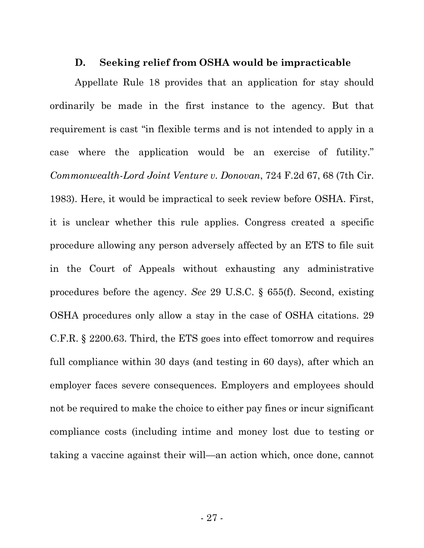#### **D. Seeking relief from OSHA would be impracticable**

Appellate Rule 18 provides that an application for stay should ordinarily be made in the first instance to the agency. But that requirement is cast "in flexible terms and is not intended to apply in a case where the application would be an exercise of futility." *Commonwealth-Lord Joint Venture v. Donovan*, 724 F.2d 67, 68 (7th Cir. 1983). Here, it would be impractical to seek review before OSHA. First, it is unclear whether this rule applies. Congress created a specific procedure allowing any person adversely affected by an ETS to file suit in the Court of Appeals without exhausting any administrative procedures before the agency. *See* 29 U.S.C. § 655(f). Second, existing OSHA procedures only allow a stay in the case of OSHA citations. 29 C.F.R. § 2200.63. Third, the ETS goes into effect tomorrow and requires full compliance within 30 days (and testing in 60 days), after which an employer faces severe consequences. Employers and employees should not be required to make the choice to either pay fines or incur significant compliance costs (including intime and money lost due to testing or taking a vaccine against their will—an action which, once done, cannot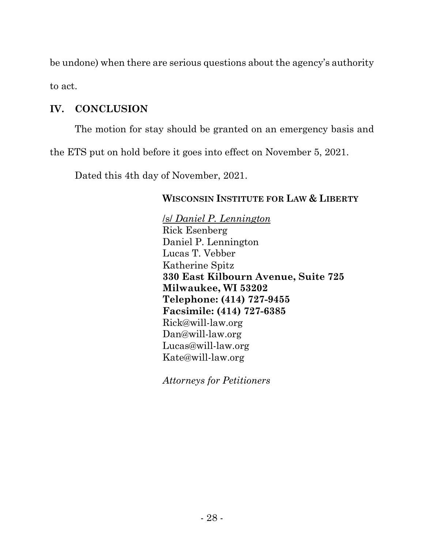be undone) when there are serious questions about the agency's authority to act.

# **IV. CONCLUSION**

The motion for stay should be granted on an emergency basis and

the ETS put on hold before it goes into effect on November 5, 2021.

Dated this 4th day of November, 2021.

# **WISCONSIN INSTITUTE FOR LAW & LIBERTY**

/s/ *Daniel P. Lennington* Rick Esenberg Daniel P. Lennington Lucas T. Vebber Katherine Spitz **330 East Kilbourn Avenue, Suite 725 Milwaukee, WI 53202 Telephone: (414) 727-9455 Facsimile: (414) 727-6385** Rick@will-law.org Dan@will-law.org Lucas@will-law.org Kate@will-law.org

*Attorneys for Petitioners*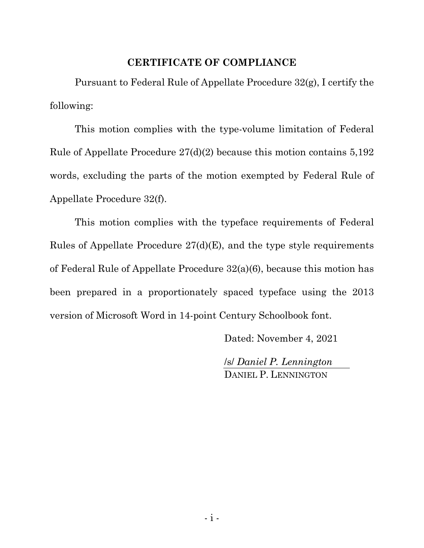# **CERTIFICATE OF COMPLIANCE**

Pursuant to Federal Rule of Appellate Procedure 32(g), I certify the following:

This motion complies with the type-volume limitation of Federal Rule of Appellate Procedure 27(d)(2) because this motion contains 5,192 words, excluding the parts of the motion exempted by Federal Rule of Appellate Procedure 32(f).

This motion complies with the typeface requirements of Federal Rules of Appellate Procedure 27(d)(E), and the type style requirements of Federal Rule of Appellate Procedure 32(a)(6), because this motion has been prepared in a proportionately spaced typeface using the 2013 version of Microsoft Word in 14-point Century Schoolbook font.

Dated: November 4, 2021

/s/ *Daniel P. Lennington* DANIEL P. LENNINGTON